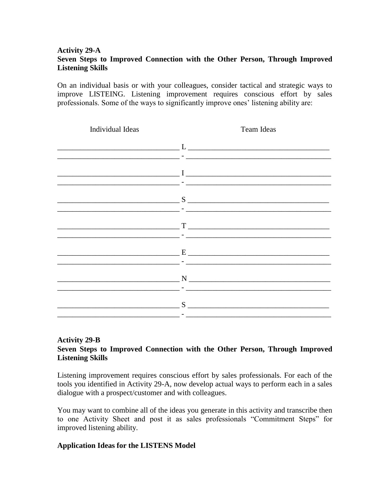## **Activity 29-A Seven Steps to Improved Connection with the Other Person, Through Improved Listening Skills**

On an individual basis or with your colleagues, consider tactical and strategic ways to improve LISTEING. Listening improvement requires conscious effort by sales professionals. Some of the ways to significantly improve ones' listening ability are:

| Individual Ideas | <b>Team Ideas</b>                                                                                                                                                                                                             |  |  |  |
|------------------|-------------------------------------------------------------------------------------------------------------------------------------------------------------------------------------------------------------------------------|--|--|--|
|                  |                                                                                                                                                                                                                               |  |  |  |
|                  | - Hotel Andrea Andrea Andrea Andrea Andrea Andrea Andrea Andrea Andrea Andrea Andrea Andrea Andrea Andrea Andr                                                                                                                |  |  |  |
|                  |                                                                                                                                                                                                                               |  |  |  |
|                  |                                                                                                                                                                                                                               |  |  |  |
|                  | $S$ and the contract of $S$ and $S$ and $S$ and $S$ and $S$ and $S$ and $S$ and $S$ and $S$ and $S$ and $S$ and $S$ and $S$ and $S$ and $S$ and $S$ and $S$ and $S$ and $S$ and $S$ and $S$ and $S$ and $S$ and $S$ and $S$ a |  |  |  |
|                  |                                                                                                                                                                                                                               |  |  |  |
|                  |                                                                                                                                                                                                                               |  |  |  |
|                  |                                                                                                                                                                                                                               |  |  |  |
|                  |                                                                                                                                                                                                                               |  |  |  |
|                  |                                                                                                                                                                                                                               |  |  |  |
|                  | $N$ and $N$ and $N$ and $N$ and $N$ and $N$ and $N$ and $N$ and $N$ and $N$ and $N$ and $N$ and $N$ and $N$ and $N$ and $N$ and $N$ and $N$ and $N$ and $N$ and $N$ and $N$ and $N$ and $N$ and $N$ and $N$ and $N$ and $N$ a |  |  |  |
|                  |                                                                                                                                                                                                                               |  |  |  |
|                  |                                                                                                                                                                                                                               |  |  |  |
|                  | 1000 - 1000 - 1000 - 1000 - 1000 - 1000 - 1000 - 1000 - 1000 - 1000 - 1000 - 1000 - 1000 - 1000 - 1000 - 1000                                                                                                                 |  |  |  |

## **Activity 29-B Seven Steps to Improved Connection with the Other Person, Through Improved Listening Skills**

Listening improvement requires conscious effort by sales professionals. For each of the tools you identified in Activity 29-A, now develop actual ways to perform each in a sales dialogue with a prospect/customer and with colleagues.

You may want to combine all of the ideas you generate in this activity and transcribe then to one Activity Sheet and post it as sales professionals "Commitment Steps" for improved listening ability.

## **Application Ideas for the LISTENS Model**